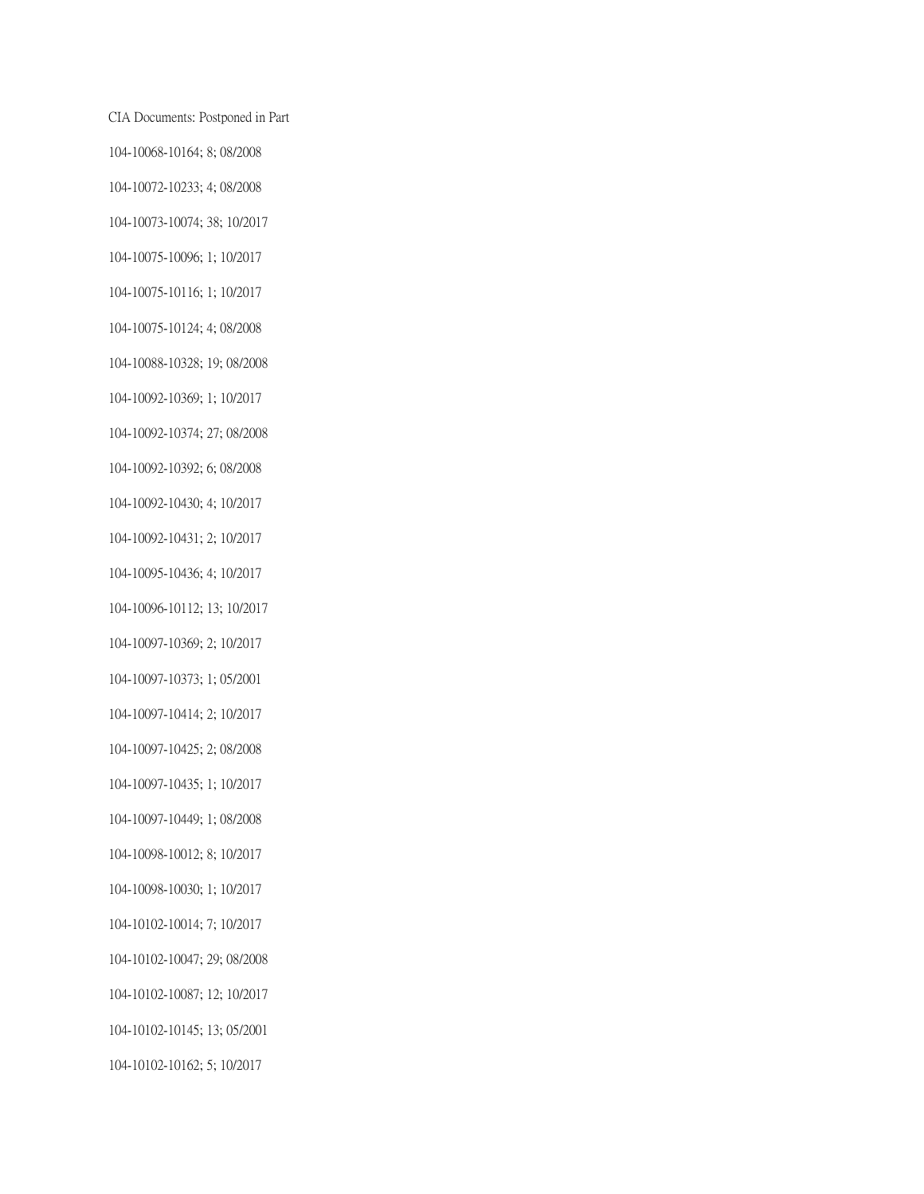CIA Documents: Postponed in Part 104-10068-10164; 8; 08/2008 104-10072-10233; 4; 08/2008 104-10073-10074; 38; 10/2017 104-10075-10096; 1; 10/2017 104-10075-10116; 1; 10/2017 104-10075-10124; 4; 08/2008 104-10088-10328; 19; 08/2008 104-10092-10369; 1; 10/2017 104-10092-10374; 27; 08/2008 104-10092-10392; 6; 08/2008 104-10092-10430; 4; 10/2017 104-10092-10431; 2; 10/2017 104-10095-10436; 4; 10/2017 104-10096-10112; 13; 10/2017 104-10097-10369; 2; 10/2017 104-10097-10373; 1; 05/2001 104-10097-10414; 2; 10/2017 104-10097-10425; 2; 08/2008 104-10097-10435; 1; 10/2017 104-10097-10449; 1; 08/2008 104-10098-10012; 8; 10/2017 104-10098-10030; 1; 10/2017 104-10102-10014; 7; 10/2017 104-10102-10047; 29; 08/2008 104-10102-10087; 12; 10/2017 104-10102-10145; 13; 05/2001 104-10102-10162; 5; 10/2017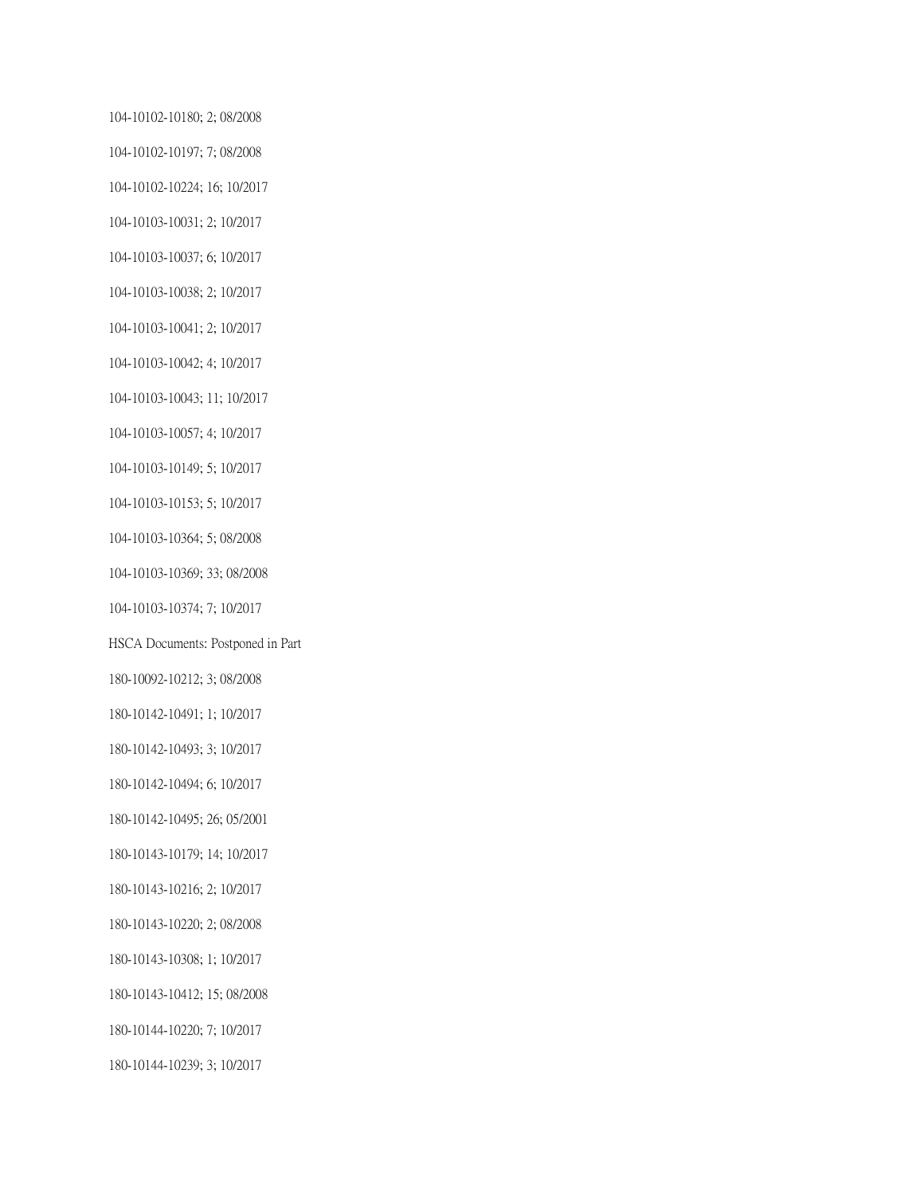104-10102-10180; 2; 08/2008 104-10102-10197; 7; 08/2008 104-10102-10224; 16; 10/2017 104-10103-10031; 2; 10/2017 104-10103-10037; 6; 10/2017 104-10103-10038; 2; 10/2017 104-10103-10041; 2; 10/2017 104-10103-10042; 4; 10/2017 104-10103-10043; 11; 10/2017 104-10103-10057; 4; 10/2017 104-10103-10149; 5; 10/2017 104-10103-10153; 5; 10/2017 104-10103-10364; 5; 08/2008 104-10103-10369; 33; 08/2008 104-10103-10374; 7; 10/2017 HSCA Documents: Postponed in Part 180-10092-10212; 3; 08/2008 180-10142-10491; 1; 10/2017 180-10142-10493; 3; 10/2017 180-10142-10494; 6; 10/2017 180-10142-10495; 26; 05/2001 180-10143-10179; 14; 10/2017 180-10143-10216; 2; 10/2017 180-10143-10220; 2; 08/2008 180-10143-10308; 1; 10/2017 180-10143-10412; 15; 08/2008 180-10144-10220; 7; 10/2017 180-10144-10239; 3; 10/2017